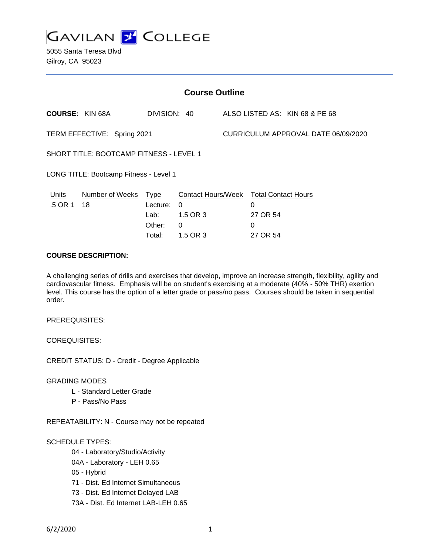

5055 Santa Teresa Blvd Gilroy, CA 95023

| <b>Course Outline</b>                          |                        |                                      |                                                        |  |                                                  |                                |  |
|------------------------------------------------|------------------------|--------------------------------------|--------------------------------------------------------|--|--------------------------------------------------|--------------------------------|--|
|                                                | <b>COURSE: KIN 68A</b> | DIVISION: 40                         |                                                        |  |                                                  | ALSO LISTED AS: KIN 68 & PE 68 |  |
| TERM EFFECTIVE: Spring 2021                    |                        |                                      |                                                        |  | CURRICULUM APPROVAL DATE 06/09/2020              |                                |  |
| <b>SHORT TITLE: BOOTCAMP FITNESS - LEVEL 1</b> |                        |                                      |                                                        |  |                                                  |                                |  |
| LONG TITLE: Bootcamp Fitness - Level 1         |                        |                                      |                                                        |  |                                                  |                                |  |
| Units<br>.5 OR 1                               | Number of Weeks<br>18  | Type<br>Lecture:<br>Lab: _<br>Other: | <b>Contact Hours/Week</b><br>$\Omega$<br>1.5 OR 3<br>0 |  | <b>Total Contact Hours</b><br>0<br>27 OR 54<br>0 |                                |  |
|                                                |                        | Total:                               | 1.5 OR 3                                               |  | 27 OR 54                                         |                                |  |

### **COURSE DESCRIPTION:**

A challenging series of drills and exercises that develop, improve an increase strength, flexibility, agility and cardiovascular fitness. Emphasis will be on student's exercising at a moderate (40% - 50% THR) exertion level. This course has the option of a letter grade or pass/no pass. Courses should be taken in sequential order.

PREREQUISITES:

COREQUISITES:

CREDIT STATUS: D - Credit - Degree Applicable

GRADING MODES

- L Standard Letter Grade
- P Pass/No Pass

REPEATABILITY: N - Course may not be repeated

#### SCHEDULE TYPES:

- 04 Laboratory/Studio/Activity
- 04A Laboratory LEH 0.65
- 05 Hybrid
- 71 Dist. Ed Internet Simultaneous
- 73 Dist. Ed Internet Delayed LAB
- 73A Dist. Ed Internet LAB-LEH 0.65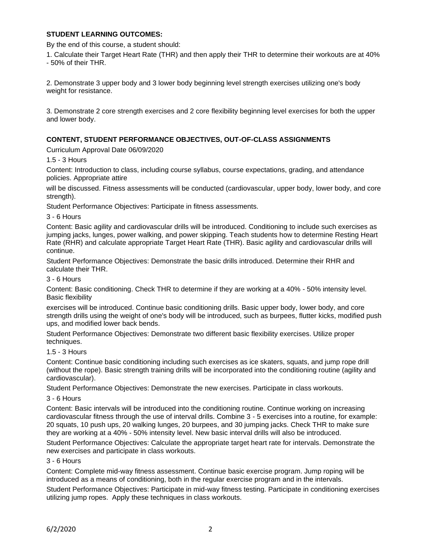## **STUDENT LEARNING OUTCOMES:**

By the end of this course, a student should:

1. Calculate their Target Heart Rate (THR) and then apply their THR to determine their workouts are at 40% - 50% of their THR.

2. Demonstrate 3 upper body and 3 lower body beginning level strength exercises utilizing one's body weight for resistance.

3. Demonstrate 2 core strength exercises and 2 core flexibility beginning level exercises for both the upper and lower body.

### **CONTENT, STUDENT PERFORMANCE OBJECTIVES, OUT-OF-CLASS ASSIGNMENTS**

Curriculum Approval Date 06/09/2020

1.5 - 3 Hours

Content: Introduction to class, including course syllabus, course expectations, grading, and attendance policies. Appropriate attire

will be discussed. Fitness assessments will be conducted (cardiovascular, upper body, lower body, and core strength).

Student Performance Objectives: Participate in fitness assessments.

3 - 6 Hours

Content: Basic agility and cardiovascular drills will be introduced. Conditioning to include such exercises as jumping jacks, lunges, power walking, and power skipping. Teach students how to determine Resting Heart Rate (RHR) and calculate appropriate Target Heart Rate (THR). Basic agility and cardiovascular drills will continue.

Student Performance Objectives: Demonstrate the basic drills introduced. Determine their RHR and calculate their THR.

#### 3 - 6 Hours

Content: Basic conditioning. Check THR to determine if they are working at a 40% - 50% intensity level. Basic flexibility

exercises will be introduced. Continue basic conditioning drills. Basic upper body, lower body, and core strength drills using the weight of one's body will be introduced, such as burpees, flutter kicks, modified push ups, and modified lower back bends.

Student Performance Objectives: Demonstrate two different basic flexibility exercises. Utilize proper techniques.

#### 1.5 - 3 Hours

Content: Continue basic conditioning including such exercises as ice skaters, squats, and jump rope drill (without the rope). Basic strength training drills will be incorporated into the conditioning routine (agility and cardiovascular).

Student Performance Objectives: Demonstrate the new exercises. Participate in class workouts.

3 - 6 Hours

Content: Basic intervals will be introduced into the conditioning routine. Continue working on increasing cardiovascular fitness through the use of interval drills. Combine 3 - 5 exercises into a routine, for example: 20 squats, 10 push ups, 20 walking lunges, 20 burpees, and 30 jumping jacks. Check THR to make sure they are working at a 40% - 50% intensity level. New basic interval drills will also be introduced.

Student Performance Objectives: Calculate the appropriate target heart rate for intervals. Demonstrate the new exercises and participate in class workouts.

## 3 - 6 Hours

Content: Complete mid-way fitness assessment. Continue basic exercise program. Jump roping will be introduced as a means of conditioning, both in the regular exercise program and in the intervals.

Student Performance Objectives: Participate in mid-way fitness testing. Participate in conditioning exercises utilizing jump ropes. Apply these techniques in class workouts.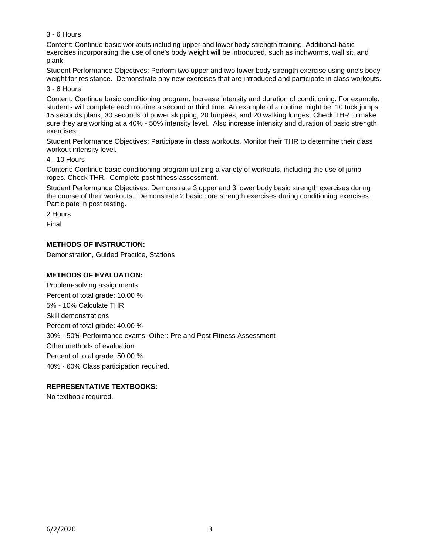# 3 - 6 Hours

Content: Continue basic workouts including upper and lower body strength training. Additional basic exercises incorporating the use of one's body weight will be introduced, such as inchworms, wall sit, and plank.

Student Performance Objectives: Perform two upper and two lower body strength exercise using one's body weight for resistance. Demonstrate any new exercises that are introduced and participate in class workouts.

3 - 6 Hours

Content: Continue basic conditioning program. Increase intensity and duration of conditioning. For example: students will complete each routine a second or third time. An example of a routine might be: 10 tuck jumps, 15 seconds plank, 30 seconds of power skipping, 20 burpees, and 20 walking lunges. Check THR to make sure they are working at a 40% - 50% intensity level. Also increase intensity and duration of basic strength exercises.

Student Performance Objectives: Participate in class workouts. Monitor their THR to determine their class workout intensity level.

### 4 - 10 Hours

Content: Continue basic conditioning program utilizing a variety of workouts, including the use of jump ropes. Check THR. Complete post fitness assessment.

Student Performance Objectives: Demonstrate 3 upper and 3 lower body basic strength exercises during the course of their workouts. Demonstrate 2 basic core strength exercises during conditioning exercises. Participate in post testing.

2 Hours

Final

# **METHODS OF INSTRUCTION:**

Demonstration, Guided Practice, Stations

# **METHODS OF EVALUATION:**

Problem-solving assignments Percent of total grade: 10.00 % 5% - 10% Calculate THR Skill demonstrations Percent of total grade: 40.00 % 30% - 50% Performance exams; Other: Pre and Post Fitness Assessment Other methods of evaluation Percent of total grade: 50.00 % 40% - 60% Class participation required.

## **REPRESENTATIVE TEXTBOOKS:**

No textbook required.